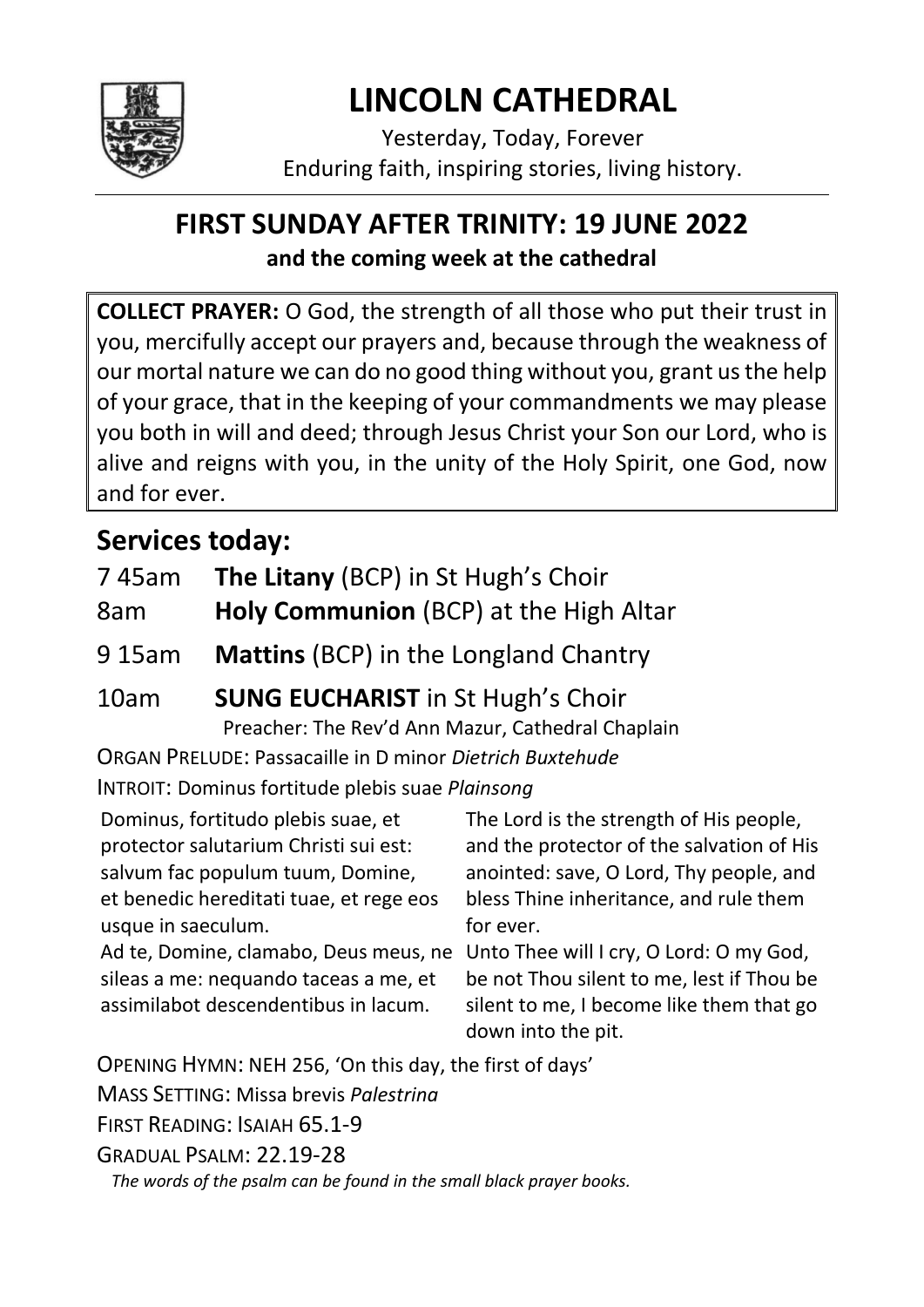

# **LINCOLN CATHEDRAL**

Yesterday, Today, Forever Enduring faith, inspiring stories, living history.

## **FIRST SUNDAY AFTER TRINITY: 19 JUNE 2022 and the coming week at the cathedral**

**COLLECT PRAYER:** O God, the strength of all those who put their trust in you, mercifully accept our prayers and, because through the weakness of our mortal nature we can do no good thing without you, grant us the help of your grace, that in the keeping of your commandments we may please you both in will and deed; through Jesus Christ your Son our Lord, who is alive and reigns with you, in the unity of the Holy Spirit, one God, now and for ever.

# **Services today:**

|  | 745am The Litany (BCP) in St Hugh's Choir |
|--|-------------------------------------------|
|--|-------------------------------------------|

- 8am **Holy Communion** (BCP) at the High Altar
- 9 15am **Mattins** (BCP) in the Longland Chantry

# 10am **SUNG EUCHARIST** in St Hugh's Choir

Preacher: The Rev'd Ann Mazur, Cathedral Chaplain

ORGAN PRELUDE: Passacaille in D minor *Dietrich Buxtehude*

INTROIT: Dominus fortitude plebis suae *Plainsong*

Dominus, fortitudo plebis suae, et protector salutarium Christi sui est: salvum fac populum tuum, Domine, et benedic hereditati tuae, et rege eos usque in saeculum. Ad te, Domine, clamabo, Deus meus, ne Unto Thee will I cry, O Lord: O my God, sileas a me: nequando taceas a me, et assimilabot descendentibus in lacum. The Lord is the strength of His people, and the protector of the salvation of His anointed: save, O Lord, Thy people, and bless Thine inheritance, and rule them for ever. be not Thou silent to me, lest if Thou be silent to me, I become like them that go down into the pit. OPENING HYMN: NEH 256, 'On this day, the first of days' MASS SETTING: Missa brevis *Palestrina*

FIRST READING: ISAIAH 65.1-9

GRADUAL PSALM: 22.19-28

*The words of the psalm can be found in the small black prayer books.*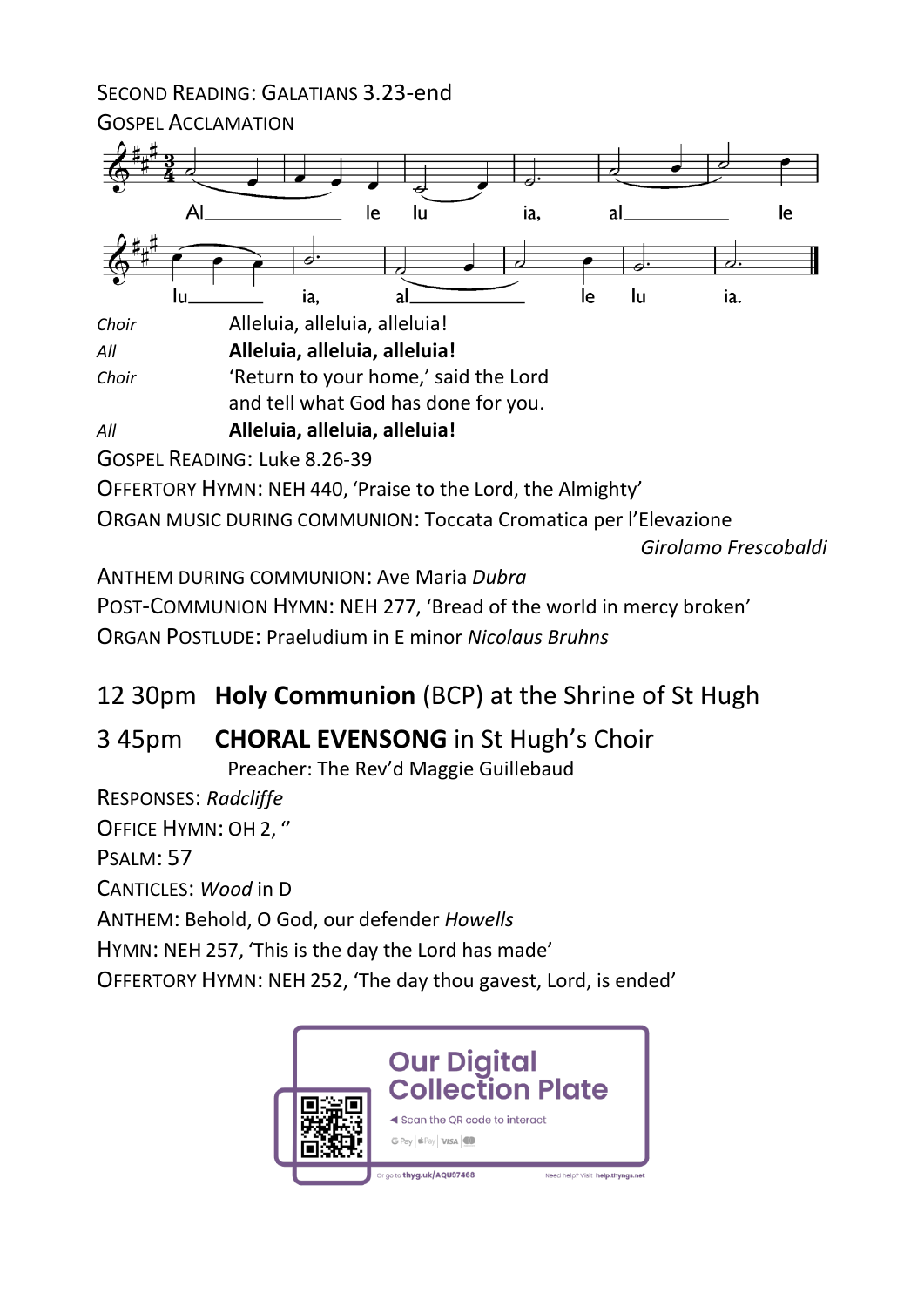SECOND READING: GALATIANS 3.23-end



POST-COMMUNION HYMN: NEH 277, 'Bread of the world in mercy broken' ORGAN POSTLUDE: Praeludium in E minor *Nicolaus Bruhns*

12 30pm **Holy Communion** (BCP) at the Shrine of St Hugh

### 3 45pm **CHORAL EVENSONG** in St Hugh's Choir

Preacher: The Rev'd Maggie Guillebaud

RESPONSES: *Radcliffe*

OFFICE HYMN: OH 2, ''

PSALM: 57

CANTICLES: *Wood* in D

ANTHEM: Behold, O God, our defender *Howells*

HYMN: NEH 257, 'This is the day the Lord has made'

OFFERTORY HYMN: NEH 252, 'The day thou gavest, Lord, is ended'

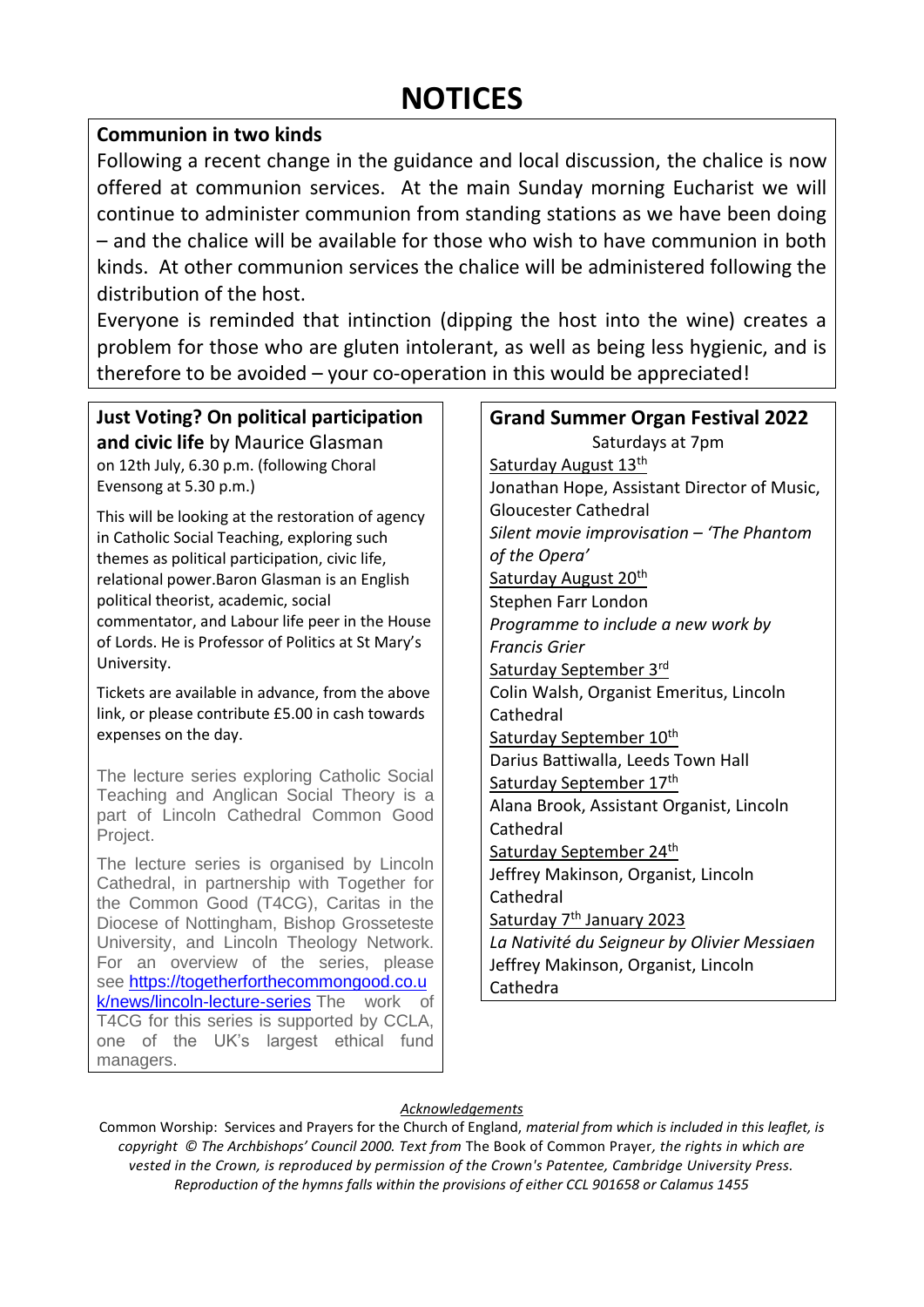## **NOTICES**

### **Communion in two kinds**

Following a recent change in the guidance and local discussion, the chalice is now offered at communion services. At the main Sunday morning Eucharist we will continue to administer communion from standing stations as we have been doing – and the chalice will be available for those who wish to have communion in both kinds. At other communion services the chalice will be administered following the distribution of the host.

Everyone is reminded that intinction (dipping the host into the wine) creates a problem for those who are gluten intolerant, as well as being less hygienic, and is therefore to be avoided – your co-operation in this would be appreciated!

**Just Voting? On political participation and civic life** by Maurice Glasman on 12th July, 6.30 p.m. (following Choral Evensong at 5.30 p.m.)

This will be looking at the restoration of agency in Catholic Social Teaching, exploring such themes as political participation, civic life, relational power.Baron Glasman is an English political theorist, academic, social commentator, and Labour life peer in the House of Lords. He is Professor of Politics at St Mary's University.

Tickets are available in advance, from the above link, or please contribute £5.00 in cash towards expenses on the day.

The lecture series exploring Catholic Social Teaching and Anglican Social Theory is a part of Lincoln Cathedral Common Good Project.

The lecture series is organised by Lincoln Cathedral, in partnership with Together for the Common Good (T4CG), Caritas in the Diocese of Nottingham, Bishop Grosseteste University, and Lincoln Theology Network. For an overview of the series, please see [https://togetherforthecommongood.co.u](https://togetherforthecommongood.co.uk/news/lincoln-lecture-series) [k/news/lincoln-lecture-series](https://togetherforthecommongood.co.uk/news/lincoln-lecture-series) The work of T4CG for this series is supported by CCLA, one of the UK's largest ethical fund managers.

| <b>Grand Summer Organ Festival 2022</b>     |  |  |  |  |
|---------------------------------------------|--|--|--|--|
| Saturdays at 7pm                            |  |  |  |  |
| Saturday August 13th                        |  |  |  |  |
| Jonathan Hope, Assistant Director of Music, |  |  |  |  |
| <b>Gloucester Cathedral</b>                 |  |  |  |  |
| Silent movie improvisation - 'The Phantom   |  |  |  |  |
| of the Opera'                               |  |  |  |  |
| Saturday August 20 <sup>th</sup>            |  |  |  |  |
| Stephen Farr London                         |  |  |  |  |
| Programme to include a new work by          |  |  |  |  |
| <b>Francis Grier</b>                        |  |  |  |  |
| Saturday September 3rd                      |  |  |  |  |
| Colin Walsh, Organist Emeritus, Lincoln     |  |  |  |  |
| Cathedral                                   |  |  |  |  |
| Saturday September 10th                     |  |  |  |  |
| Darius Battiwalla, Leeds Town Hall          |  |  |  |  |
| Saturday September 17th                     |  |  |  |  |
| Alana Brook, Assistant Organist, Lincoln    |  |  |  |  |
| Cathedral                                   |  |  |  |  |
| Saturday September 24th                     |  |  |  |  |
| Jeffrey Makinson, Organist, Lincoln         |  |  |  |  |
| Cathedral                                   |  |  |  |  |
| Saturday 7 <sup>th</sup> January 2023       |  |  |  |  |
| La Nativité du Seigneur by Olivier Messiaen |  |  |  |  |
| Jeffrey Makinson, Organist, Lincoln         |  |  |  |  |
| Cathedra                                    |  |  |  |  |

#### *Acknowledgements*

Common Worship: Services and Prayers for the Church of England, *material from which is included in this leaflet, is copyright © The Archbishops' Council 2000. Text from* The Book of Common Prayer*, the rights in which are vested in the Crown, is reproduced by permission of the Crown's Patentee, Cambridge University Press. Reproduction of the hymns falls within the provisions of either CCL 901658 or Calamus 1455*